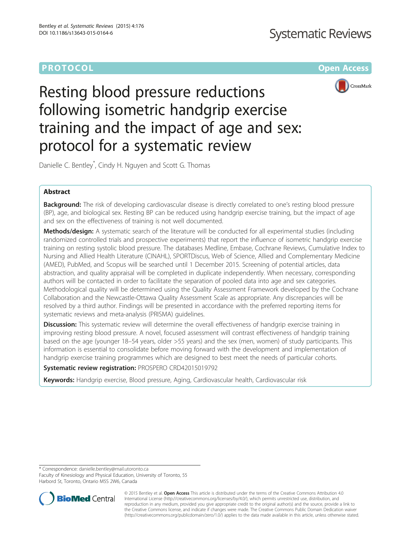# **PROTOCOL CONSUMING ACCESS CONSUMING ACCESS**



Resting blood pressure reductions following isometric handgrip exercise training and the impact of age and sex: protocol for a systematic review

Danielle C. Bentley\* , Cindy H. Nguyen and Scott G. Thomas

# Abstract

**Background:** The risk of developing cardiovascular disease is directly correlated to one's resting blood pressure (BP), age, and biological sex. Resting BP can be reduced using handgrip exercise training, but the impact of age and sex on the effectiveness of training is not well documented.

Methods/design: A systematic search of the literature will be conducted for all experimental studies (including randomized controlled trials and prospective experiments) that report the influence of isometric handgrip exercise training on resting systolic blood pressure. The databases Medline, Embase, Cochrane Reviews, Cumulative Index to Nursing and Allied Health Literature (CINAHL), SPORTDiscus, Web of Science, Allied and Complementary Medicine (AMED), PubMed, and Scopus will be searched until 1 December 2015. Screening of potential articles, data abstraction, and quality appraisal will be completed in duplicate independently. When necessary, corresponding authors will be contacted in order to facilitate the separation of pooled data into age and sex categories. Methodological quality will be determined using the Quality Assessment Framework developed by the Cochrane Collaboration and the Newcastle-Ottawa Quality Assessment Scale as appropriate. Any discrepancies will be resolved by a third author. Findings will be presented in accordance with the preferred reporting items for systematic reviews and meta-analysis (PRISMA) guidelines.

**Discussion:** This systematic review will determine the overall effectiveness of handgrip exercise training in improving resting blood pressure. A novel, focused assessment will contrast effectiveness of handgrip training based on the age (younger 18–54 years, older >55 years) and the sex (men, women) of study participants. This information is essential to consolidate before moving forward with the development and implementation of handgrip exercise training programmes which are designed to best meet the needs of particular cohorts.

Systematic review registration: PROSPERO CRD42015019792

Keywords: Handgrip exercise, Blood pressure, Aging, Cardiovascular health, Cardiovascular risk

\* Correspondence: [danielle.bentley@mail.utoronto.ca](mailto:danielle.bentley@mail.utoronto.ca)

Faculty of Kinesiology and Physical Education, University of Toronto, 55 Harbord St, Toronto, Ontario M5S 2W6, Canada



© 2015 Bentley et al. Open Access This article is distributed under the terms of the Creative Commons Attribution 4.0 International License [\(http://creativecommons.org/licenses/by/4.0/](http://creativecommons.org/licenses/by/4.0/)), which permits unrestricted use, distribution, and reproduction in any medium, provided you give appropriate credit to the original author(s) and the source, provide a link to the Creative Commons license, and indicate if changes were made. The Creative Commons Public Domain Dedication waiver [\(http://creativecommons.org/publicdomain/zero/1.0/](http://creativecommons.org/publicdomain/zero/1.0/)) applies to the data made available in this article, unless otherwise stated.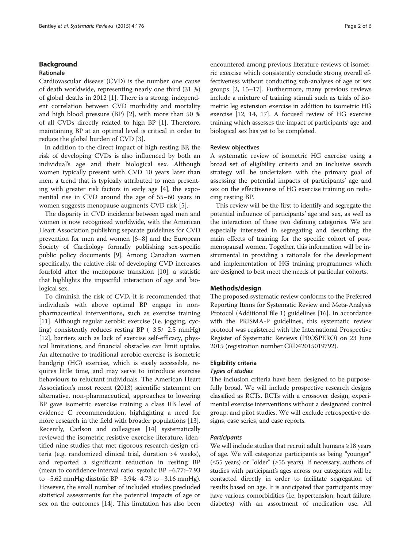## Background

## Rationale

Cardiovascular disease (CVD) is the number one cause of death worldwide, representing nearly one third (31 %) of global deaths in 2012 [[1\]](#page-5-0). There is a strong, independent correlation between CVD morbidity and mortality and high blood pressure (BP) [[2\]](#page-5-0), with more than 50 % of all CVDs directly related to high BP [\[1](#page-5-0)]. Therefore, maintaining BP at an optimal level is critical in order to reduce the global burden of CVD [\[3](#page-5-0)].

In addition to the direct impact of high resting BP, the risk of developing CVDs is also influenced by both an individual's age and their biological sex. Although women typically present with CVD 10 years later than men, a trend that is typically attributed to men presenting with greater risk factors in early age [[4\]](#page-5-0), the exponential rise in CVD around the age of 55–60 years in women suggests menopause augments CVD risk [[5\]](#page-5-0).

The disparity in CVD incidence between aged men and women is now recognized worldwide, with the American Heart Association publishing separate guidelines for CVD prevention for men and women [[6](#page-5-0)–[8](#page-5-0)] and the European Society of Cardiology formally publishing sex-specific public policy documents [[9\]](#page-5-0). Among Canadian women specifically, the relative risk of developing CVD increases fourfold after the menopause transition [\[10\]](#page-5-0), a statistic that highlights the impactful interaction of age and biological sex.

To diminish the risk of CVD, it is recommended that individuals with above optimal BP engage in nonpharmaceutical interventions, such as exercise training [[11\]](#page-5-0). Although regular aerobic exercise (i.e. jogging, cycling) consistently reduces resting BP (−3.5/−2.5 mmHg) [[12\]](#page-5-0), barriers such as lack of exercise self-efficacy, physical limitations, and financial obstacles can limit uptake. An alternative to traditional aerobic exercise is isometric handgrip (HG) exercise, which is easily accessible, requires little time, and may serve to introduce exercise behaviours to reluctant individuals. The American Heart Association's most recent (2013) scientific statement on alternative, non-pharmaceutical, approaches to lowering BP gave isometric exercise training a class IIB level of evidence C recommendation, highlighting a need for more research in the field with broader populations [\[13](#page-5-0)]. Recently, Carlson and colleagues [\[14](#page-5-0)] systematically reviewed the isometric resistive exercise literature, identified nine studies that met rigorous research design criteria (e.g. randomized clinical trial, duration >4 weeks), and reported a significant reduction in resting BP (mean to confidence interval ratio: systolic BP −6.77:−7.93 to −5.62 mmHg; diastolic BP −3.94:−4.73 to −3.16 mmHg). However, the small number of included studies precluded statistical assessments for the potential impacts of age or sex on the outcomes [[14](#page-5-0)]. This limitation has also been encountered among previous literature reviews of isometric exercise which consistently conclude strong overall effectiveness without conducting sub-analyses of age or sex groups [[2](#page-5-0), [15](#page-5-0)–[17](#page-5-0)]. Furthermore, many previous reviews include a mixture of training stimuli such as trials of isometric leg extension exercise in addition to isometric HG exercise [\[12, 14](#page-5-0), [17\]](#page-5-0). A focused review of HG exercise training which assesses the impact of participants' age and biological sex has yet to be completed.

## Review objectives

A systematic review of isometric HG exercise using a broad set of eligibility criteria and an inclusive search strategy will be undertaken with the primary goal of assessing the potential impacts of participants' age and sex on the effectiveness of HG exercise training on reducing resting BP.

This review will be the first to identify and segregate the potential influence of participants' age and sex, as well as the interaction of these two defining categories. We are especially interested in segregating and describing the main effects of training for the specific cohort of postmenopausal women. Together, this information will be instrumental in providing a rationale for the development and implementation of HG training programmes which are designed to best meet the needs of particular cohorts.

## Methods/design

The proposed systematic review conforms to the Preferred Reporting Items for Systematic Review and Meta-Analysis Protocol (Additional file [1\)](#page-5-0) guidelines [[16](#page-5-0)]. In accordance with the PRISMA-P guidelines, this systematic review protocol was registered with the International Prospective Register of Systematic Reviews (PROSPERO) on 23 June 2015 (registration number CRD42015019792).

## Eligibility criteria

## Types of studies

The inclusion criteria have been designed to be purposefully broad. We will include prospective research designs classified as RCTs, RCTs with a crossover design, experimental exercise interventions without a designated control group, and pilot studies. We will exclude retrospective designs, case series, and case reports.

## **Participants**

We will include studies that recruit adult humans ≥18 years of age. We will categorize participants as being "younger" (≤55 years) or "older" (≥55 years). If necessary, authors of studies with participant's ages across our categories will be contacted directly in order to facilitate segregation of results based on age. It is anticipated that participants may have various comorbidities (i.e. hypertension, heart failure, diabetes) with an assortment of medication use. All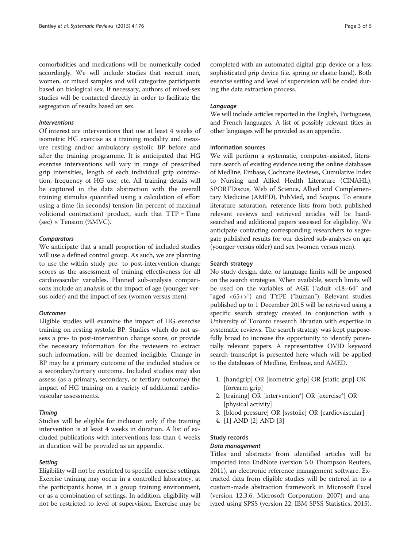comorbidities and medications will be numerically coded accordingly. We will include studies that recruit men, women, or mixed samples and will categorize participants based on biological sex. If necessary, authors of mixed-sex studies will be contacted directly in order to facilitate the segregation of results based on sex.

## Interventions

Of interest are interventions that use at least 4 weeks of isometric HG exercise as a training modality and measure resting and/or ambulatory systolic BP before and after the training programme. It is anticipated that HG exercise interventions will vary in range of prescribed grip intensities, length of each individual grip contraction, frequency of HG use, etc. All training details will be captured in the data abstraction with the overall training stimulus quantified using a calculation of effort using a time (in seconds) tension (in percent of maximal volitional contraction) product, such that TTP = Time  $(sec) \times Tension$  (%MVC).

## **Comparators**

We anticipate that a small proportion of included studies will use a defined control group. As such, we are planning to use the within study pre- to post-intervention change scores as the assessment of training effectiveness for all cardiovascular variables. Planned sub-analysis comparisons include an analysis of the impact of age (younger versus older) and the impact of sex (women versus men).

## **Outcomes**

Eligible studies will examine the impact of HG exercise training on resting systolic BP. Studies which do not assess a pre- to post-intervention change score, or provide the necessary information for the reviewers to extract such information, will be deemed ineligible. Change in BP may be a primary outcome of the included studies or a secondary/tertiary outcome. Included studies may also assess (as a primary, secondary, or tertiary outcome) the impact of HG training on a variety of additional cardiovascular assessments.

#### **Timing**

Studies will be eligible for inclusion only if the training intervention is at least 4 weeks in duration. A list of excluded publications with interventions less than 4 weeks in duration will be provided as an appendix.

#### Setting

Eligibility will not be restricted to specific exercise settings. Exercise training may occur in a controlled laboratory, at the participant's home, in a group training environment, or as a combination of settings. In addition, eligibility will not be restricted to level of supervision. Exercise may be completed with an automated digital grip device or a less sophisticated grip device (i.e. spring or elastic band). Both exercise setting and level of supervision will be coded during the data extraction process.

#### Language

We will include articles reported in the English, Portuguese, and French languages. A list of possibly relevant titles in other languages will be provided as an appendix.

## Information sources

We will perform a systematic, computer-assisted, literature search of existing evidence using the online databases of Medline, Embase, Cochrane Reviews, Cumulative Index to Nursing and Allied Health Literature (CINAHL), SPORTDiscus, Web of Science, Allied and Complementary Medicine (AMED), PubMed, and Scopus. To ensure literature saturation, reference lists from both published relevant reviews and retrieved articles will be handsearched and additional papers assessed for eligibility. We anticipate contacting corresponding researchers to segregate published results for our desired sub-analyses on age (younger versus older) and sex (women versus men).

## Search strategy

No study design, date, or language limits will be imposed on the search strategies. When available, search limits will be used on the variables of AGE ("adult <18–64" and "aged <65+>") and TYPE ("human"). Relevant studies published up to 1 December 2015 will be retrieved using a specific search strategy created in conjunction with a University of Toronto research librarian with expertise in systematic reviews. The search strategy was kept purposefully broad to increase the opportunity to identify potentially relevant papers. A representative OVID keyword search transcript is presented here which will be applied to the databases of Medline, Embase, and AMED.

- 1. [handgrip] OR [isometric grip] OR [static grip] OR [forearm grip]
- 2. [training] OR [intervention\*] OR [exercise\*] OR [physical activity]
- 3. [blood pressure] OR [systolic] OR [cardiovascular]
- 4. [[1](#page-5-0)] AND [[2\]](#page-5-0) AND [\[3](#page-5-0)]

## Study records

#### Data management

Titles and abstracts from identified articles will be imported into EndNote (version 5.0 Thompson Reuters, 2011), an electronic reference management software. Extracted data from eligible studies will be entered in to a custom-made abstraction framework in Microsoft Excel (version 12.3.6, Microsoft Corporation, 2007) and analyzed using SPSS (version 22, IBM SPSS Statistics, 2015).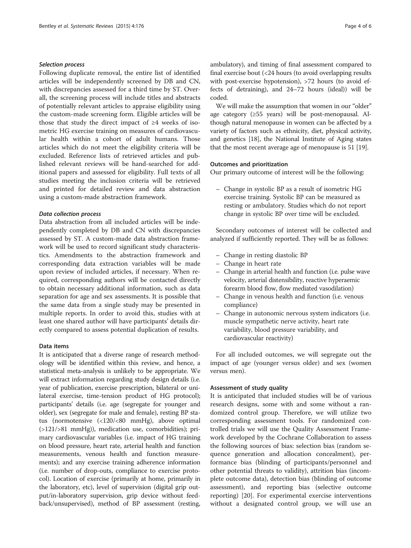## Selection process

Following duplicate removal, the entire list of identified articles will be independently screened by DB and CN, with discrepancies assessed for a third time by ST. Overall, the screening process will include titles and abstracts of potentially relevant articles to appraise eligibility using the custom-made screening form. Eligible articles will be those that study the direct impact of  $\geq 4$  weeks of isometric HG exercise training on measures of cardiovascular health within a cohort of adult humans. Those articles which do not meet the eligibility criteria will be excluded. Reference lists of retrieved articles and published relevant reviews will be hand-searched for additional papers and assessed for eligibility. Full texts of all studies meeting the inclusion criteria will be retrieved and printed for detailed review and data abstraction using a custom-made abstraction framework.

## Data collection process

Data abstraction from all included articles will be independently completed by DB and CN with discrepancies assessed by ST. A custom-made data abstraction framework will be used to record significant study characteristics. Amendments to the abstraction framework and corresponding data extraction variables will be made upon review of included articles, if necessary. When required, corresponding authors will be contacted directly to obtain necessary additional information, such as data separation for age and sex assessments. It is possible that the same data from a single study may be presented in multiple reports. In order to avoid this, studies with at least one shared author will have participants' details directly compared to assess potential duplication of results.

## Data items

It is anticipated that a diverse range of research methodology will be identified within this review, and hence, a statistical meta-analysis is unlikely to be appropriate. We will extract information regarding study design details (i.e. year of publication, exercise prescription, bilateral or unilateral exercise, time-tension product of HG protocol); participants' details (i.e. age (segregate for younger and older), sex (segregate for male and female), resting BP status (normotensive (<120/<80 mmHg), above optimal (>121/>81 mmHg)), medication use, comorbidities); primary cardiovascular variables (i.e. impact of HG training on blood pressure, heart rate, arterial health and function measurements, venous health and function measurements); and any exercise training adherence information (i.e. number of drop-outs, compliance to exercise protocol). Location of exercise (primarily at home, primarily in the laboratory, etc), level of supervision (digital grip output/in-laboratory supervision, grip device without feedback/unsupervised), method of BP assessment (resting,

ambulatory), and timing of final assessment compared to final exercise bout (<24 hours (to avoid overlapping results with post-exercise hypotension), >72 hours (to avoid effects of detraining), and 24–72 hours (ideal)) will be coded.

We will make the assumption that women in our "older" age category (≥55 years) will be post-menopausal. Although natural menopause in women can be affected by a variety of factors such as ethnicity, diet, physical activity, and genetics [\[18\]](#page-5-0), the National Institute of Aging states that the most recent average age of menopause is 51 [\[19](#page-5-0)].

## Outcomes and prioritization

Our primary outcome of interest will be the following:

– Change in systolic BP as a result of isometric HG exercise training. Systolic BP can be measured as resting or ambulatory. Studies which do not report change in systolic BP over time will be excluded.

Secondary outcomes of interest will be collected and analyzed if sufficiently reported. They will be as follows:

- Change in resting diastolic BP
- Change in heart rate
- Change in arterial health and function (i.e. pulse wave velocity, arterial distensibility, reactive hyperaemic forearm blood flow, flow mediated vasodilation)
- Change in venous health and function (i.e. venous compliance)
- Change in autonomic nervous system indicators (i.e. muscle sympathetic nerve activity, heart rate variability, blood pressure variability, and cardiovascular reactivity)

For all included outcomes, we will segregate out the impact of age (younger versus older) and sex (women versus men).

## Assessment of study quality

It is anticipated that included studies will be of various research designs, some with and some without a randomized control group. Therefore, we will utilize two corresponding assessment tools. For randomized controlled trials we will use the Quality Assessment Framework developed by the Cochrane Collaboration to assess the following sources of bias: selection bias (random sequence generation and allocation concealment), performance bias (blinding of participants/personnel and other potential threats to validity), attrition bias (incomplete outcome data), detection bias (blinding of outcome assessment), and reporting bias (selective outcome reporting) [\[20\]](#page-5-0). For experimental exercise interventions without a designated control group, we will use an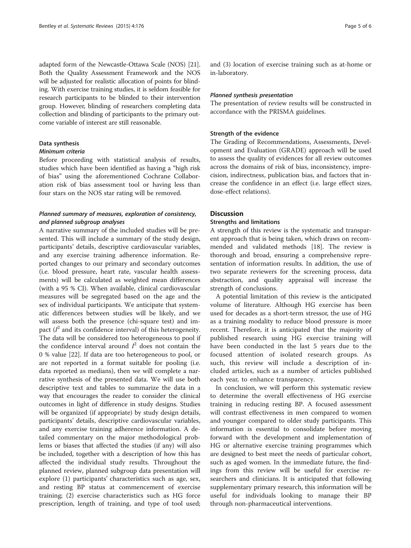adapted form of the Newcastle-Ottawa Scale (NOS) [[21](#page-5-0)]. Both the Quality Assessment Framework and the NOS will be adjusted for realistic allocation of points for blinding. With exercise training studies, it is seldom feasible for research participants to be blinded to their intervention group. However, blinding of researchers completing data collection and blinding of participants to the primary outcome variable of interest are still reasonable.

## Data synthesis

#### Minimum criteria

Before proceeding with statistical analysis of results, studies which have been identified as having a "high risk of bias" using the aforementioned Cochrane Collaboration risk of bias assessment tool or having less than four stars on the NOS star rating will be removed.

## Planned summary of measures, exploration of consistency, and planned subgroup analyses

A narrative summary of the included studies will be presented. This will include a summary of the study design, participants' details, descriptive cardiovascular variables, and any exercise training adherence information. Reported changes to our primary and secondary outcomes (i.e. blood pressure, heart rate, vascular health assessments) will be calculated as weighted mean differences (with a 95 % CI). When available, clinical cardiovascular measures will be segregated based on the age and the sex of individual participants. We anticipate that systematic differences between studies will be likely, and we will assess both the presence (chi-square test) and impact  $(I^2$  and its confidence interval) of this heterogeneity. The data will be considered too heterogeneous to pool if the confidence interval around  $I^2$  does not contain the 0 % value [[22\]](#page-5-0). If data are too heterogeneous to pool, or are not reported in a format suitable for pooling (i.e. data reported as medians), then we will complete a narrative synthesis of the presented data. We will use both descriptive text and tables to summarize the data in a way that encourages the reader to consider the clinical outcomes in light of difference in study designs. Studies will be organized (if appropriate) by study design details, participants' details, descriptive cardiovascular variables, and any exercise training adherence information. A detailed commentary on the major methodological problems or biases that affected the studies (if any) will also be included, together with a description of how this has affected the individual study results. Throughout the planned review, planned subgroup data presentation will explore (1) participants' characteristics such as age, sex, and resting BP status at commencement of exercise training; (2) exercise characteristics such as HG force prescription, length of training, and type of tool used; and (3) location of exercise training such as at-home or

#### Planned synthesis presentation

in-laboratory.

The presentation of review results will be constructed in accordance with the PRISMA guidelines.

## Strength of the evidence

The Grading of Recommendations, Assessments, Development and Evaluation (GRADE) approach will be used to assess the quality of evidences for all review outcomes across the domains of risk of bias, inconsistency, imprecision, indirectness, publication bias, and factors that increase the confidence in an effect (i.e. large effect sizes, dose-effect relations).

## **Discussion**

#### Strengths and limitations

A strength of this review is the systematic and transparent approach that is being taken, which draws on recommended and validated methods [\[18](#page-5-0)]. The review is thorough and broad, ensuring a comprehensive representation of information results. In addition, the use of two separate reviewers for the screening process, data abstraction, and quality appraisal will increase the strength of conclusions.

A potential limitation of this review is the anticipated volume of literature. Although HG exercise has been used for decades as a short-term stressor, the use of HG as a training modality to reduce blood pressure is more recent. Therefore, it is anticipated that the majority of published research using HG exercise training will have been conducted in the last 5 years due to the focused attention of isolated research groups. As such, this review will include a description of included articles, such as a number of articles published each year, to enhance transparency.

In conclusion, we will perform this systematic review to determine the overall effectiveness of HG exercise training in reducing resting BP. A focused assessment will contrast effectiveness in men compared to women and younger compared to older study participants. This information is essential to consolidate before moving forward with the development and implementation of HG or alternative exercise training programmes which are designed to best meet the needs of particular cohort, such as aged women. In the immediate future, the findings from this review will be useful for exercise researchers and clinicians. It is anticipated that following supplementary primary research, this information will be useful for individuals looking to manage their BP through non-pharmaceutical interventions.